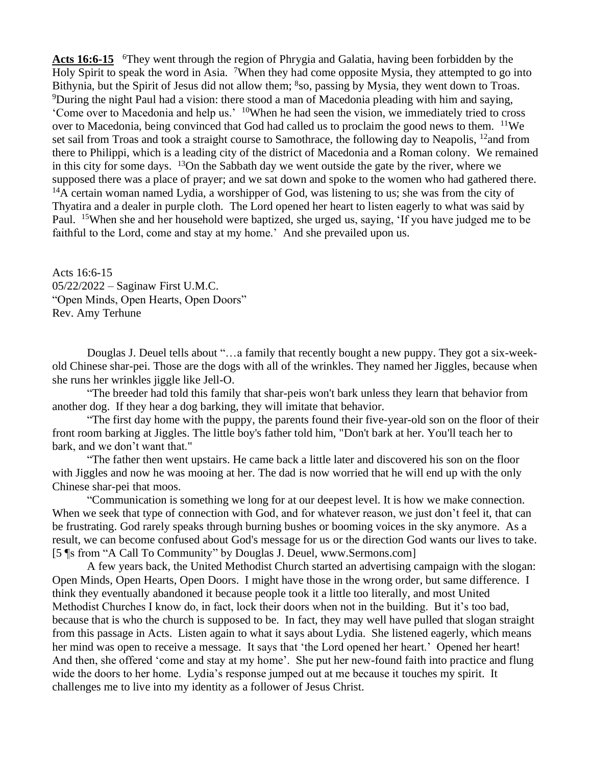Acts 16:6-15 <sup>6</sup>They went through the region of Phrygia and Galatia, having been forbidden by the Holy Spirit to speak the word in Asia. <sup>7</sup>When they had come opposite Mysia, they attempted to go into Bithynia, but the Spirit of Jesus did not allow them; <sup>8</sup>so, passing by Mysia, they went down to Troas. <sup>9</sup>During the night Paul had a vision: there stood a man of Macedonia pleading with him and saying, 'Come over to Macedonia and help us.' <sup>10</sup>When he had seen the vision, we immediately tried to cross over to Macedonia, being convinced that God had called us to proclaim the good news to them. <sup>11</sup>We set sail from Troas and took a straight course to Samothrace, the following day to Neapolis, <sup>12</sup>and from there to Philippi, which is a leading city of the district of Macedonia and a Roman colony. We remained in this city for some days.  $13$ On the Sabbath day we went outside the gate by the river, where we supposed there was a place of prayer; and we sat down and spoke to the women who had gathered there. <sup>14</sup>A certain woman named Lydia, a worshipper of God, was listening to us; she was from the city of Thyatira and a dealer in purple cloth. The Lord opened her heart to listen eagerly to what was said by Paul. <sup>15</sup>When she and her household were baptized, she urged us, saying, 'If you have judged me to be faithful to the Lord, come and stay at my home.' And she prevailed upon us.

Acts 16:6-15 05/22/2022 – Saginaw First U.M.C. "Open Minds, Open Hearts, Open Doors" Rev. Amy Terhune

Douglas J. Deuel tells about "…a family that recently bought a new puppy. They got a six-weekold Chinese shar-pei. Those are the dogs with all of the wrinkles. They named her Jiggles, because when she runs her wrinkles jiggle like Jell-O.

"The breeder had told this family that shar-peis won't bark unless they learn that behavior from another dog. If they hear a dog barking, they will imitate that behavior.

"The first day home with the puppy, the parents found their five-year-old son on the floor of their front room barking at Jiggles. The little boy's father told him, "Don't bark at her. You'll teach her to bark, and we don't want that."

"The father then went upstairs. He came back a little later and discovered his son on the floor with Jiggles and now he was mooing at her. The dad is now worried that he will end up with the only Chinese shar-pei that moos.

"Communication is something we long for at our deepest level. It is how we make connection. When we seek that type of connection with God, and for whatever reason, we just don't feel it, that can be frustrating. God rarely speaks through burning bushes or booming voices in the sky anymore. As a result, we can become confused about God's message for us or the direction God wants our lives to take. [5 ¶s from "A Call To Community" by Douglas J. Deuel, www.Sermons.com]

A few years back, the United Methodist Church started an advertising campaign with the slogan: Open Minds, Open Hearts, Open Doors. I might have those in the wrong order, but same difference. I think they eventually abandoned it because people took it a little too literally, and most United Methodist Churches I know do, in fact, lock their doors when not in the building. But it's too bad, because that is who the church is supposed to be. In fact, they may well have pulled that slogan straight from this passage in Acts. Listen again to what it says about Lydia. She listened eagerly, which means her mind was open to receive a message. It says that 'the Lord opened her heart.' Opened her heart! And then, she offered 'come and stay at my home'. She put her new-found faith into practice and flung wide the doors to her home. Lydia's response jumped out at me because it touches my spirit. It challenges me to live into my identity as a follower of Jesus Christ.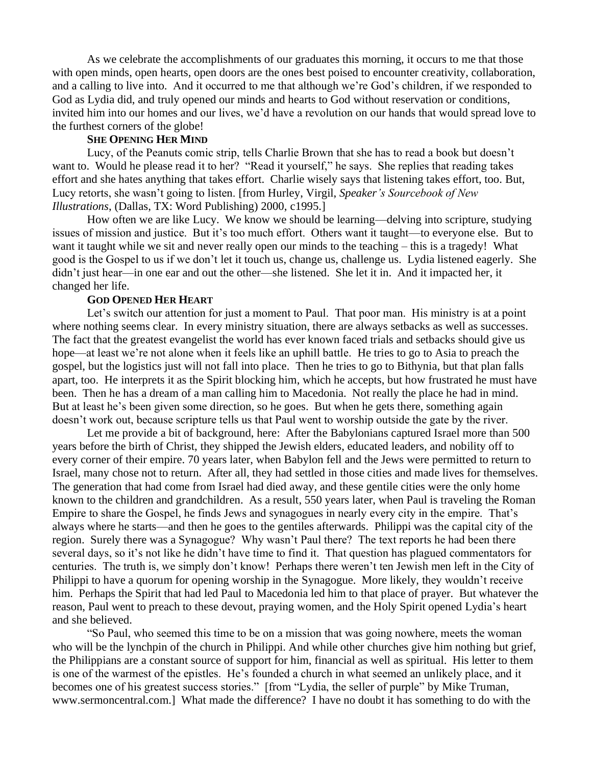As we celebrate the accomplishments of our graduates this morning, it occurs to me that those with open minds, open hearts, open doors are the ones best poised to encounter creativity, collaboration, and a calling to live into. And it occurred to me that although we're God's children, if we responded to God as Lydia did, and truly opened our minds and hearts to God without reservation or conditions, invited him into our homes and our lives, we'd have a revolution on our hands that would spread love to the furthest corners of the globe!

## **SHE OPENING HER MIND**

Lucy, of the Peanuts comic strip, tells Charlie Brown that she has to read a book but doesn't want to. Would he please read it to her? "Read it yourself," he says. She replies that reading takes effort and she hates anything that takes effort. Charlie wisely says that listening takes effort, too. But, Lucy retorts, she wasn't going to listen. [from Hurley, Virgil, *Speaker's Sourcebook of New Illustrations*, (Dallas, TX: Word Publishing) 2000, c1995.]

How often we are like Lucy. We know we should be learning—delving into scripture, studying issues of mission and justice. But it's too much effort. Others want it taught—to everyone else. But to want it taught while we sit and never really open our minds to the teaching – this is a tragedy! What good is the Gospel to us if we don't let it touch us, change us, challenge us. Lydia listened eagerly. She didn't just hear—in one ear and out the other—she listened. She let it in. And it impacted her, it changed her life.

## **GOD OPENED HER HEART**

Let's switch our attention for just a moment to Paul. That poor man. His ministry is at a point where nothing seems clear. In every ministry situation, there are always setbacks as well as successes. The fact that the greatest evangelist the world has ever known faced trials and setbacks should give us hope—at least we're not alone when it feels like an uphill battle. He tries to go to Asia to preach the gospel, but the logistics just will not fall into place. Then he tries to go to Bithynia, but that plan falls apart, too. He interprets it as the Spirit blocking him, which he accepts, but how frustrated he must have been. Then he has a dream of a man calling him to Macedonia. Not really the place he had in mind. But at least he's been given some direction, so he goes. But when he gets there, something again doesn't work out, because scripture tells us that Paul went to worship outside the gate by the river.

Let me provide a bit of background, here: After the Babylonians captured Israel more than 500 years before the birth of Christ, they shipped the Jewish elders, educated leaders, and nobility off to every corner of their empire. 70 years later, when Babylon fell and the Jews were permitted to return to Israel, many chose not to return. After all, they had settled in those cities and made lives for themselves. The generation that had come from Israel had died away, and these gentile cities were the only home known to the children and grandchildren. As a result, 550 years later, when Paul is traveling the Roman Empire to share the Gospel, he finds Jews and synagogues in nearly every city in the empire. That's always where he starts—and then he goes to the gentiles afterwards. Philippi was the capital city of the region. Surely there was a Synagogue? Why wasn't Paul there? The text reports he had been there several days, so it's not like he didn't have time to find it. That question has plagued commentators for centuries. The truth is, we simply don't know! Perhaps there weren't ten Jewish men left in the City of Philippi to have a quorum for opening worship in the Synagogue. More likely, they wouldn't receive him. Perhaps the Spirit that had led Paul to Macedonia led him to that place of prayer. But whatever the reason, Paul went to preach to these devout, praying women, and the Holy Spirit opened Lydia's heart and she believed.

"So Paul, who seemed this time to be on a mission that was going nowhere, meets the woman who will be the lynchpin of the church in Philippi. And while other churches give him nothing but grief, the Philippians are a constant source of support for him, financial as well as spiritual. His letter to them is one of the warmest of the epistles. He's founded a church in what seemed an unlikely place, and it becomes one of his greatest success stories." [from "Lydia, the seller of purple" by Mike Truman, www.sermoncentral.com.] What made the difference? I have no doubt it has something to do with the